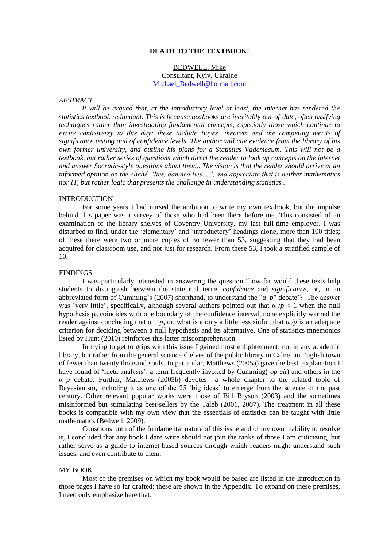## **DEATH TO THE TEXTBOOK!**

## BEDWELL, Mike Consultant, Kyiv, Ukraine [Michael\\_Bedwell@hotmail.com](mailto:Michael_Bedwell@hotmail.com)

#### *ABSTRACT*

*It will be argued that, at the introductory level at least, the Internet has rendered the statistics textbook redundant. This is because textbooks are inevitably out-of-date, often ossifying techniques rather than investigating fundamental concepts, especially those which continue to excite controversy to this day; these include Bayes' theorem and the competing merits of significance testing and of confidence levels. The author will cite evidence from the library of his own former university, and outline his plans for a Statistics Vademecum. This will not be a textbook, but rather series of questions which direct the reader to look up concepts on the internet and answer Socratic-style questions about them.. The vision is that the reader should arrive at an informed opinion on the cliché 'lies, damned lies….', and appreciate that is neither mathematics nor IT, but rather logic that presents the challenge in understanding statistics .*

## INTRODUCTION

For some years I had nursed the ambition to write my own textbook, but the impulse behind this paper was a survey of those who had been there before me. This consisted of an examination of the library shelves of Coventry University, my last full-time employer. I was disturbed to find, under the "elementary" and "introductory" headings alone, more than 100 titles; of these there were two or more copies of no fewer than 53, suggesting that they had been acquired for classroom use, and not just for research. From these 53, I took a stratified sample of 10.

## FINDINGS

I was particularly interested in answering the question "how far would these texts help students to distinguish between the statistical terms *confidence* and *significance*, or, in an abbreviated form of Cumming"s (2007) shorthand, to understand the "α–*p*" debate"? The answer was 'very little'; specifically, although several authors pointed out that  $\alpha / p \approx 1$  when the null hypothesis  $\mu_0$  coincides with one boundary of the confidence interval, none explicitly warned the reader against concluding that  $\alpha \equiv p$ , or, what is a only a little less sinful, that  $\alpha/p$  is an adequate criterion for deciding between a null hypothesis and its alternative. One of statistics mnemonics listed by Hunt (2010) reinforces this latter miscomprehension.

In trying to get to grips with this issue I gained most enlightenment, not in any academic library, but rather from the general science shelves of the public library in Calne, an English town of fewer than twenty thousand souls. In particular, Matthews (2005a) gave the best explanation I have found of "meta-analysis", a term frequently invoked by Cumming( *op cit*) and others in the α–*p* debate. Further, Matthews (2005b) devotes a whole chapter to the related topic of Bayesianism, including it as one of the 25 'big ideas' to emerge from the science of the past century. Other relevant popular works were those of Bill Bryson (2003) and the sometimes misinformed but stimulating best-sellers by the Taleb (2001, 2007). The treatment in all these books is compatible with my own view that the essentials of statistics can be taught with little mathematics (Bedwell, 2009).

Conscious both of the fundamental nature of this issue and of my own inability to resolve it, I concluded that any book I dare write should not join the ranks of those I am criticizing, but rather serve as a guide to internet-based sources through which readers might understand such issues, and even contribute to them.

## MY BOOK

Most of the premises on which my book would be based are listed in the Introduction in those pages I have so far drafted; these are shown in the Appendix. To expand on these premises, I need only emphasize here that: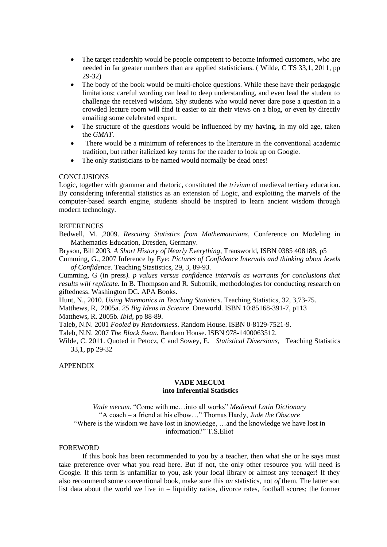- The target readership would be people competent to become informed customers, who are needed in far greater numbers than are applied statisticians. ( Wilde, C TS 33,1, 2011, pp 29-32)
- The body of the book would be multi-choice questions. While these have their pedagogic limitations; careful wording can lead to deep understanding, and even lead the student to challenge the received wisdom. Shy students who would never dare pose a question in a crowded lecture room will find it easier to air their views on a blog, or even by directly emailing some celebrated expert.
- The structure of the questions would be influenced by my having, in my old age, taken the *GMAT*.
- There would be a minimum of references to the literature in the conventional academic tradition, but rather italicized key terms for the reader to look up on Google.
- The only statisticians to be named would normally be dead ones!

## **CONCLUSIONS**

Logic, together with grammar and rhetoric, constituted the *trivium* of medieval tertiary education. By considering inferential statistics as an extension of Logic, and exploiting the marvels of the computer-based search engine, students should be inspired to learn ancient wisdom through modern technology.

#### **REFERENCES**

Bedwell, M. ,2009. *Rescuing Statistics from Mathematicians*, Conference on Modeling in Mathematics Education, Dresden, Germany.

Bryson, Bill 2003. *A Short History of Nearly Everything*, Transworld, ISBN 0385 408188, p5 Cumming, G., 2007 Inference by Eye: *Pictures of Confidence Intervals and thinking about levels* 

*of Confidence.* Teaching Stastistics, 29, 3, 89-93.

Cumming, G (in press*). p values versus confidence intervals as warrants for conclusions that results will replicate.* In B. Thompson and R. Subotnik, methodologies for conducting research on giftedness. Washington DC. APA Books.

Hunt, N., 2010. *Using Mnemonics in Teaching Statistics*. Teaching Statistics, 32, 3,73-75.

Matthews, R, 2005a. *25 Big Ideas in Science*. Oneworld. ISBN 10:85168-391-7, p113

Matthews, R. 2005b. *Ibid*, pp 88-89.

Taleb, N.N. 2001 *Fooled by Randomness*. Random House. ISBN 0-8129-7521-9.

Taleb, N.N. 2007 *The Black Swan*. Random House. ISBN 978-1400063512.

Wilde, C. 2011. Quoted in Petocz, C and Sowey, E. *Statistical Diversions*, Teaching Statistics 33,1, pp 29-32

# APPENDIX

# **VADE MECUM into Inferential Statistics**

*Vade mecum.* "Come with me…into all works" *Medieval Latin Dictionary* "A coach – a friend at his elbow…" Thomas Hardy, *Jude the Obscure* "Where is the wisdom we have lost in knowledge, …and the knowledge we have lost in information?" T.S.Eliot

## FOREWORD

If this book has been recommended to you by a teacher, then what she or he says must take preference over what you read here. But if not, the only other resource you will need is Google. If this term is unfamiliar to you, ask your local library or almost any teenager! If they also recommend some conventional book, make sure this *on* statistics, not *of* them. The latter sort list data about the world we live in – liquidity ratios, divorce rates, football scores; the former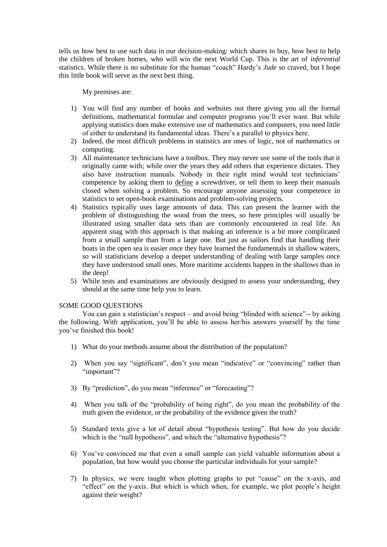tells us how best to use such data in our decision-making: which shares to buy, how best to help the children of broken homes, who will win the next World Cup. This is the art of *inferential*  statistics. While there is no substitute for the human "coach" Hardy"s *Jude* so craved, but I hope this little book will serve as the next best thing.

My premises are:

- 1) You will find any number of books and websites out there giving you all the formal definitions, mathematical formulae and computer programs you"ll ever want. But while applying statistics does make extensive use of mathematics and computers, you need little of either to understand its fundamental ideas. There"s a parallel to physics here.
- 2) Indeed, the most difficult problems in statistics are ones of logic, not of mathematics or computing.
- 3) All maintenance technicians have a toolbox. They may never use some of the tools that it originally came with; while over the years they add others that experience dictates. They also have instruction manuals. Nobody in their right mind would test technicians' competence by asking them to define a screwdriver, or tell them to keep their manuals closed when solving a problem. So encourage anyone assessing your competence in statistics to set open-book examinations and problem-solving projects.
- 4) Statistics typically uses large amounts of data. This can present the learner with the problem of distinguishing the wood from the trees, so here principles will usually be illustrated using smaller data sets than are commonly encountered in real life. An apparent snag with this approach is that making an inference is a bit more complicated from a small sample than from a large one. But just as sailors find that handling their boats in the open sea is easier once they have learned the fundamentals in shallow waters, so will statisticians develop a deeper understanding of dealing with large samples once they have understood small ones. More maritime accidents happen in the shallows than in the deep!
- 5) While tests and examinations are obviously designed to assess your understanding, they should at the same time help you to learn.

# SOME GOOD QUESTIONS

You can gain a statistician's respect – and avoid being "blinded with science"-- by asking the following. With application, you"ll be able to assess her/his answers yourself by the time you"ve finished this book!

- 1) What do your methods assume about the distribution of the population?
- 2) When you say "significant", don"t you mean "indicative" or "convincing" rather than "important"?
- 3) By "prediction", do you mean "inference" or "forecasting"?
- 4) When you talk of the "probability of being right", do you mean the probability of the truth given the evidence, or the probability of the evidence given the truth?
- 5) Standard texts give a lot of detail about "hypothesis testing". But how do you decide which is the "null hypothesis", and which the "alternative hypothesis"?
- 6) You"ve convinced me that even a small sample can yield valuable information about a population, but how would you choose the particular individuals for your sample?
- 7) In physics, we were taught when plotting graphs to put "cause" on the x-axis, and "effect" on the y-axis. But which is which when, for example, we plot people"s height against their weight?